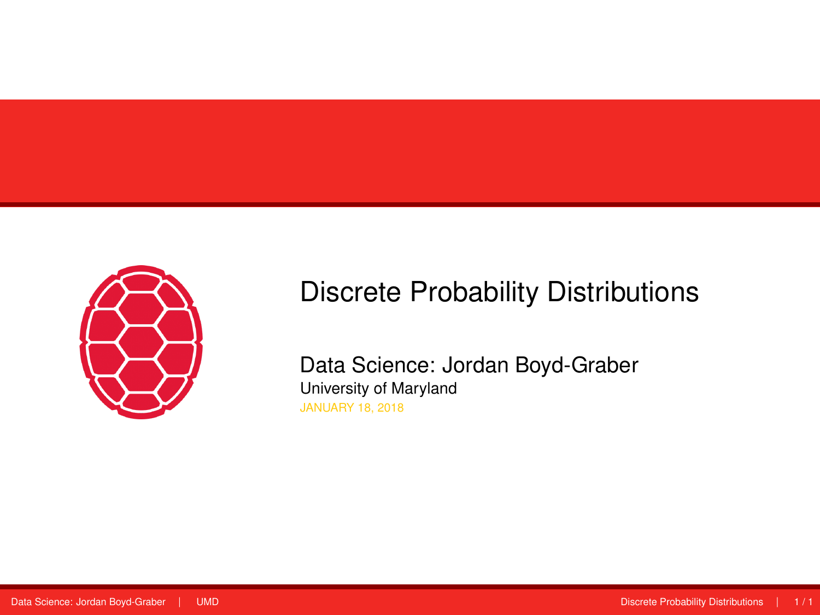<span id="page-0-0"></span>

# Discrete Probability Distributions

Data Science: Jordan Boyd-Graber University of Maryland JANUARY 18, 2018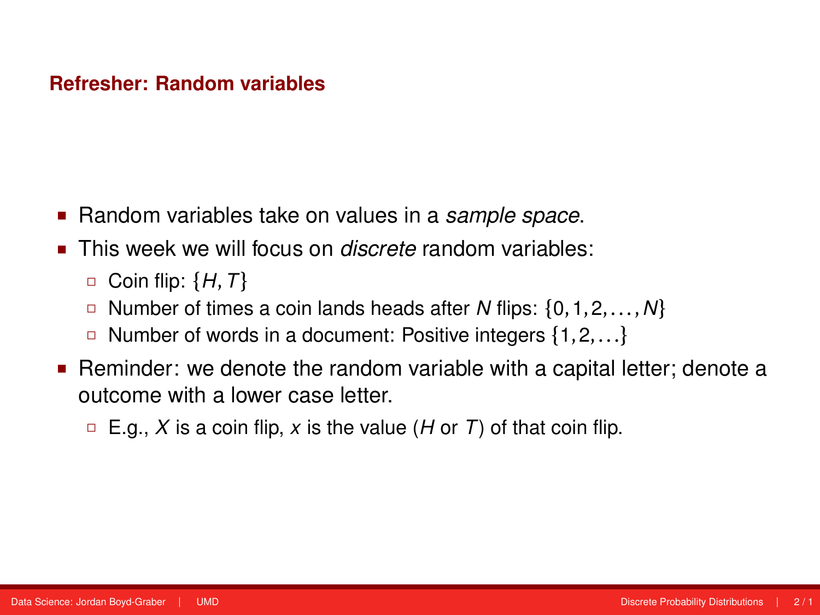#### **Refresher: Random variables**

- Random variables take on values in a *sample space*.
- **This week we will focus on** *discrete* random variables:
	- Coin flip: {*H*,*T*}
	- Number of times a coin lands heads after *N* flips: {0,1,2,...,*N*}
	- Number of words in a document: Positive integers {1,2,...}
- Reminder: we denote the random variable with a capital letter; denote a outcome with a lower case letter.
	- $E.g., X$  is a coin flip, x is the value (*H* or *T*) of that coin flip.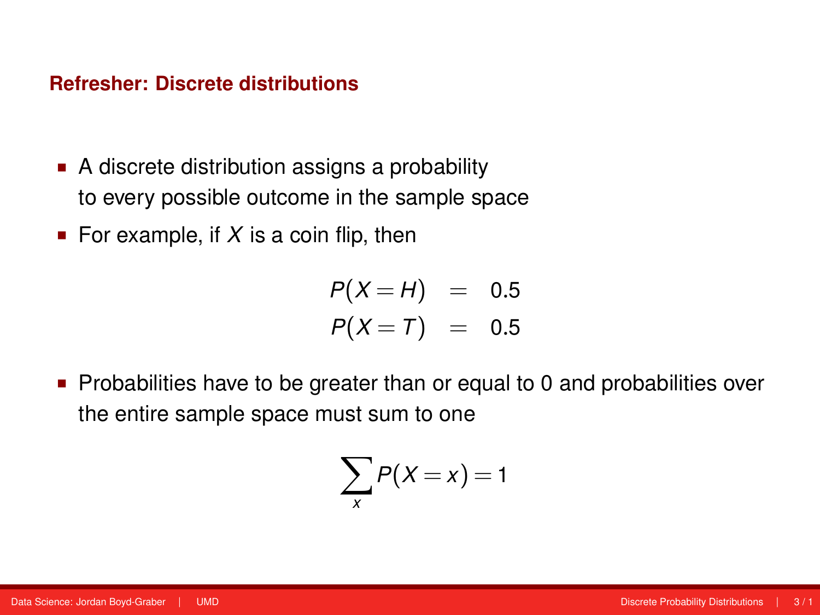#### **Refresher: Discrete distributions**

- A discrete distribution assigns a probability to every possible outcome in the sample space
- For example, if  $X$  is a coin flip, then

$$
P(X=H) = 0.5
$$
  

$$
P(X=T) = 0.5
$$

**Probabilities have to be greater than or equal to 0 and probabilities over** the entire sample space must sum to one

$$
\sum_{x} P(X=x) = 1
$$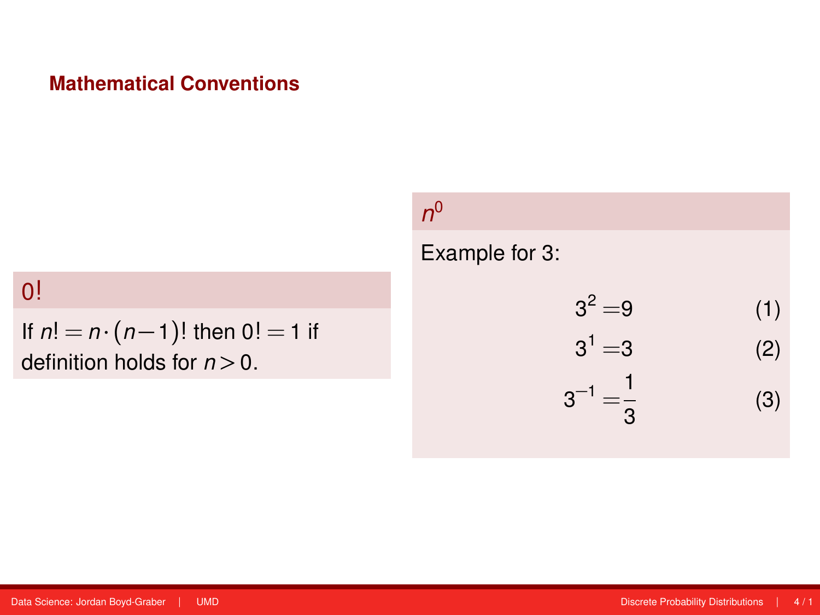# **Mathematical Conventions**

0!

If *n*! = *n* ·(*n* − 1)! then 0! = 1 if definition holds for  $n > 0$ .

*n* 0

Example for 3:

$$
32 = 9
$$
 (1)  

$$
31 = 3
$$
 (2)  

$$
3-1 = \frac{1}{3}
$$
 (3)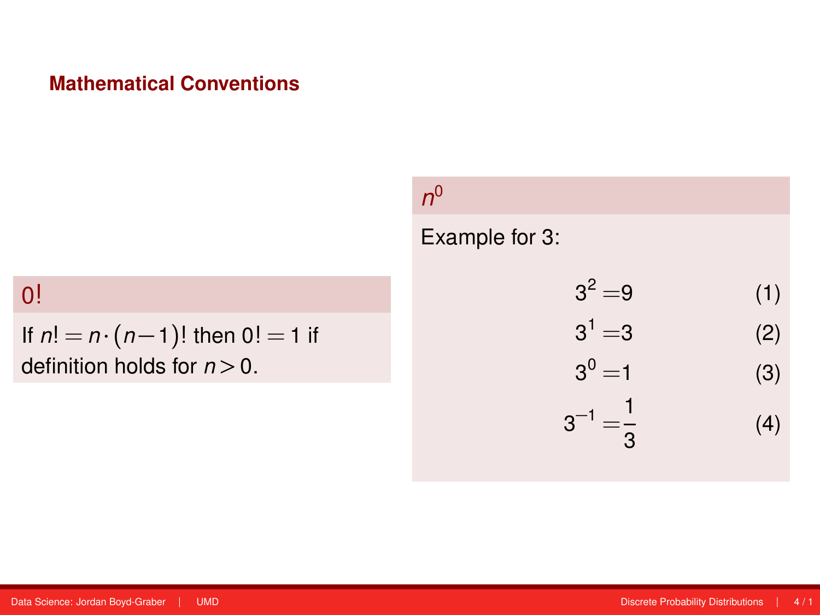# **Mathematical Conventions**

# 0!

If *n*! = *n* ·(*n* − 1)! then 0! = 1 if definition holds for *n >* 0.

# Example for 3:

| $3^2 = 9$              | (1) |
|------------------------|-----|
| $3^1 = 3$              | (2) |
| $3^0 = 1$              | (3) |
| $3^{-1} = \frac{1}{3}$ | (4) |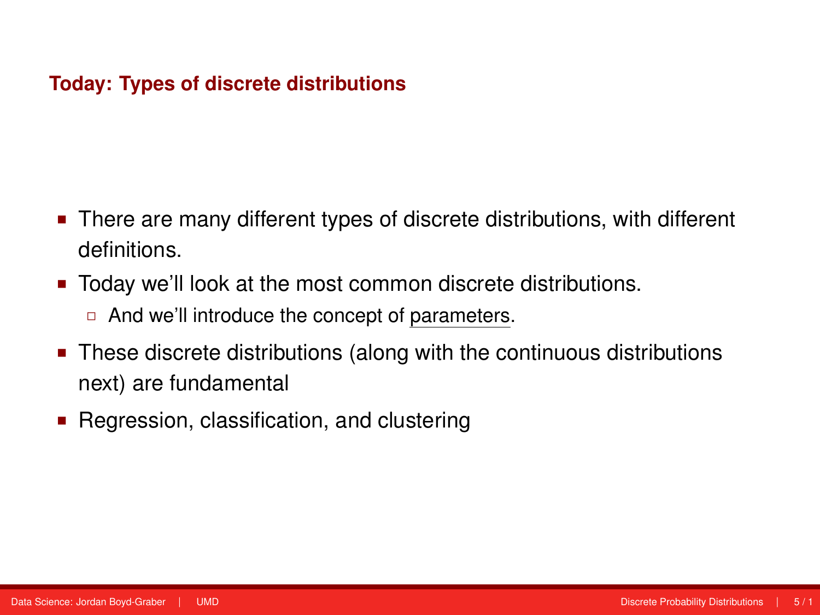# **Today: Types of discrete distributions**

- There are many different types of discrete distributions, with different definitions.
- Today we'll look at the most common discrete distributions.
	- □ And we'll introduce the concept of parameters.
- These discrete distributions (along with the continuous distributions next) are fundamental
- Regression, classification, and clustering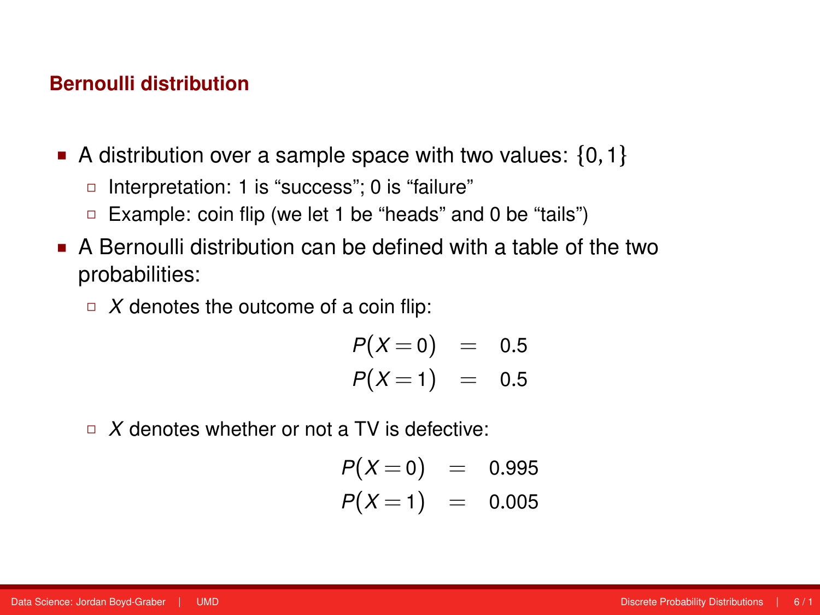- A distribution over a sample space with two values:  $\{0,1\}$ 
	- □ Interpretation: 1 is "success"; 0 is "failure"
	- □ Example: coin flip (we let 1 be "heads" and 0 be "tails")
- A Bernoulli distribution can be defined with a table of the two probabilities:
	- $\Box$  *X* denotes the outcome of a coin flip:

$$
P(X=0) = 0.5
$$
  

$$
P(X=1) = 0.5
$$

□ *X* denotes whether or not a TV is defective:

$$
P(X=0) = 0.995P(X=1) = 0.005
$$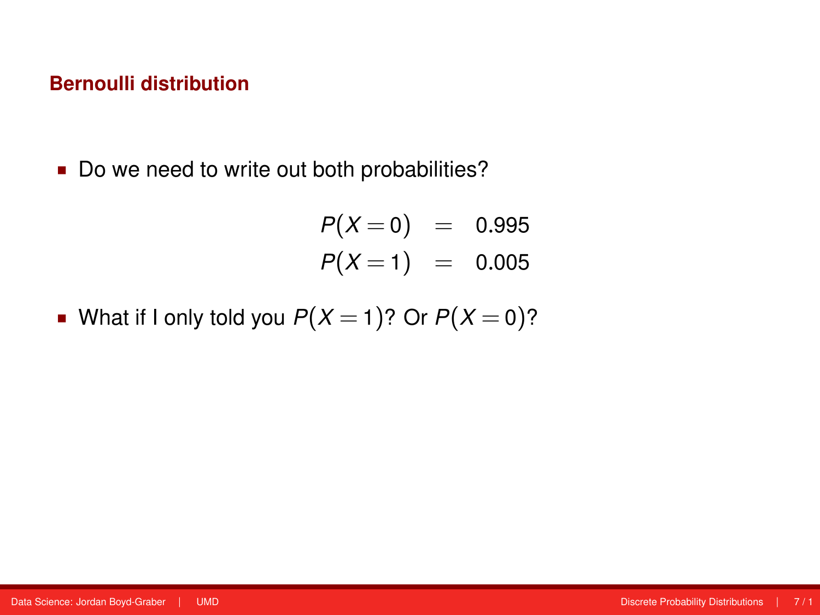Do we need to write out both probabilities?

$$
P(X=0) = 0.995
$$
  

$$
P(X=1) = 0.005
$$

What if I only told you  $P(X = 1)$ ? Or  $P(X = 0)$ ?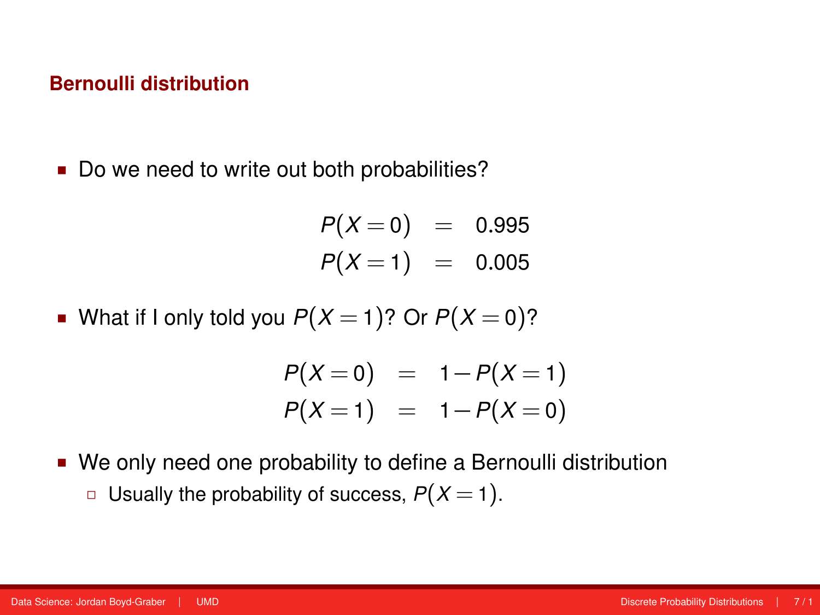Do we need to write out both probabilities?

$$
P(X=0) = 0.995P(X=1) = 0.005
$$

What if I only told you  $P(X = 1)$ ? Or  $P(X = 0)$ ?

$$
P(X=0) = 1-P(X=1) P(X=1) = 1-P(X=0)
$$

 We only need one probability to define a Bernoulli distribution **Usually the probability of success,**  $P(X = 1)$ **.**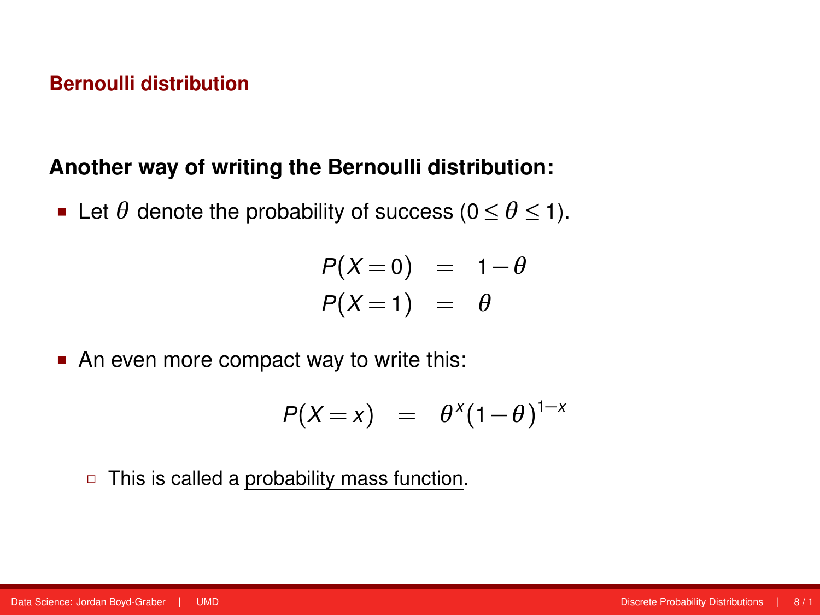# **Another way of writing the Bernoulli distribution:**

Let  $\theta$  denote the probability of success ( $0 \le \theta \le 1$ ).

$$
P(X=0) = 1-\theta
$$
  

$$
P(X=1) = \theta
$$

An even more compact way to write this:

$$
P(X=x) = \theta^x (1-\theta)^{1-x}
$$

 $\Box$  This is called a probability mass function.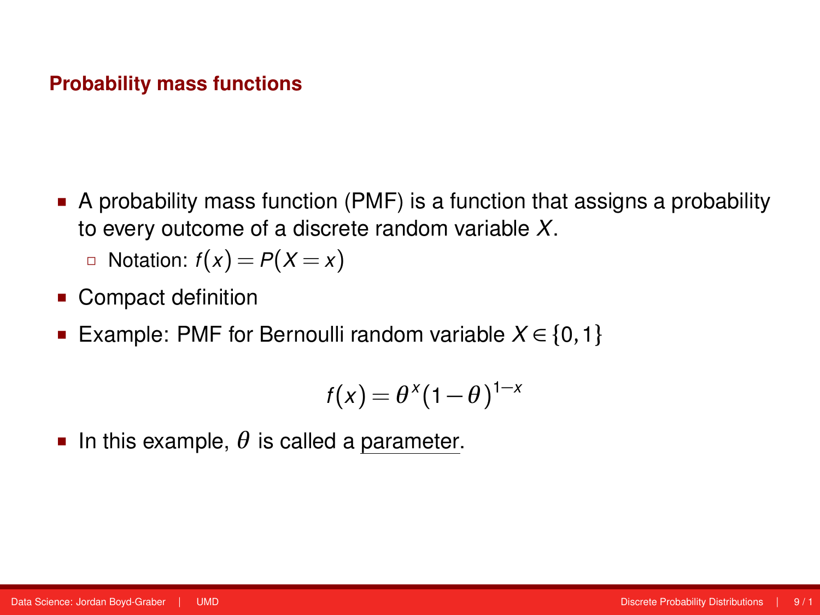#### **Probability mass functions**

 A probability mass function (PMF) is a function that assigns a probability to every outcome of a discrete random variable *X*.

■ Notation: 
$$
f(x) = P(X = x)
$$

- Compact definition
- **Example: PMF for Bernoulli random variable**  $X \in \{0, 1\}$

$$
f(x) = \theta^x (1-\theta)^{1-x}
$$

In this example,  $\theta$  is called a parameter.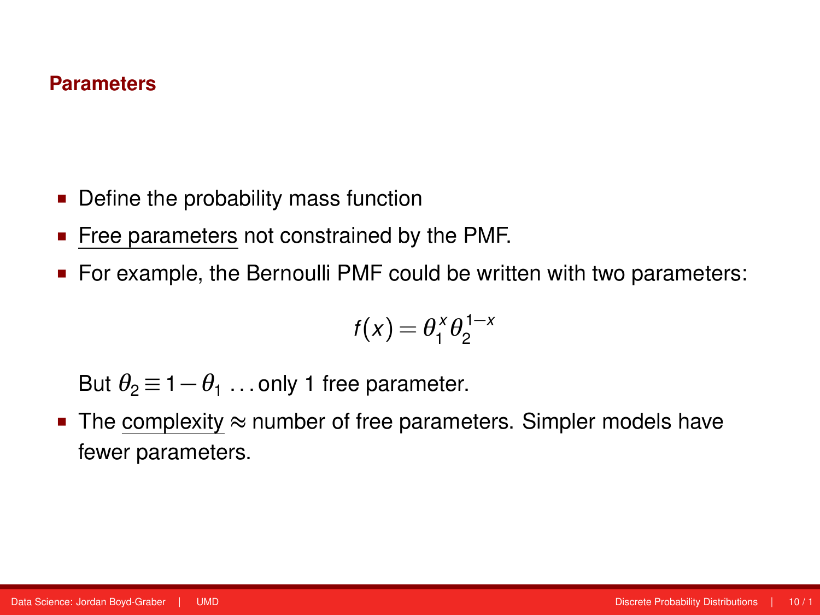#### **Parameters**

- Define the probability mass function
- **Free parameters not constrained by the PMF.**
- For example, the Bernoulli PMF could be written with two parameters:

$$
f(x) = \theta_1^x \theta_2^{1-x}
$$

But  $\theta_2 \equiv 1 - \theta_1 \dots$  only 1 free parameter.

**The complexity**  $\approx$  **number of free parameters. Simpler models have** fewer parameters.